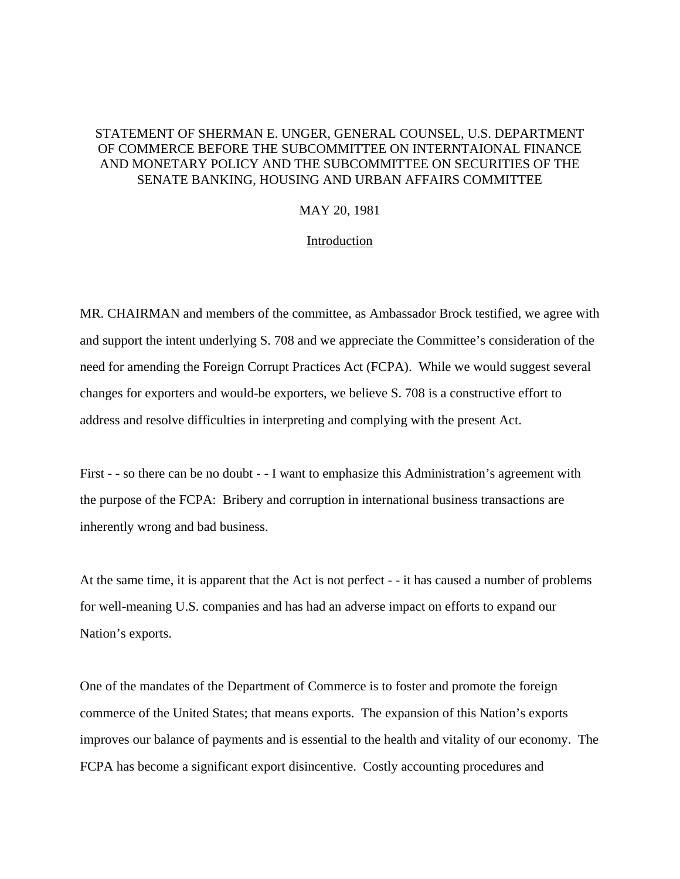# STATEMENT OF SHERMAN E. UNGER, GENERAL COUNSEL, U.S. DEPARTMENT OF COMMERCE BEFORE THE SUBCOMMITTEE ON INTERNTAIONAL FINANCE AND MONETARY POLICY AND THE SUBCOMMITTEE ON SECURITIES OF THE SENATE BANKING, HOUSING AND URBAN AFFAIRS COMMITTEE

# MAY 20, 1981

### Introduction

MR. CHAIRMAN and members of the committee, as Ambassador Brock testified, we agree with and support the intent underlying S. 708 and we appreciate the Committee's consideration of the need for amending the Foreign Corrupt Practices Act (FCPA). While we would suggest several changes for exporters and would-be exporters, we believe S. 708 is a constructive effort to address and resolve difficulties in interpreting and complying with the present Act.

First - - so there can be no doubt - - I want to emphasize this Administration's agreement with the purpose of the FCPA: Bribery and corruption in international business transactions are inherently wrong and bad business.

At the same time, it is apparent that the Act is not perfect - - it has caused a number of problems for well-meaning U.S. companies and has had an adverse impact on efforts to expand our Nation's exports.

One of the mandates of the Department of Commerce is to foster and promote the foreign commerce of the United States; that means exports. The expansion of this Nation's exports improves our balance of payments and is essential to the health and vitality of our economy. The FCPA has become a significant export disincentive. Costly accounting procedures and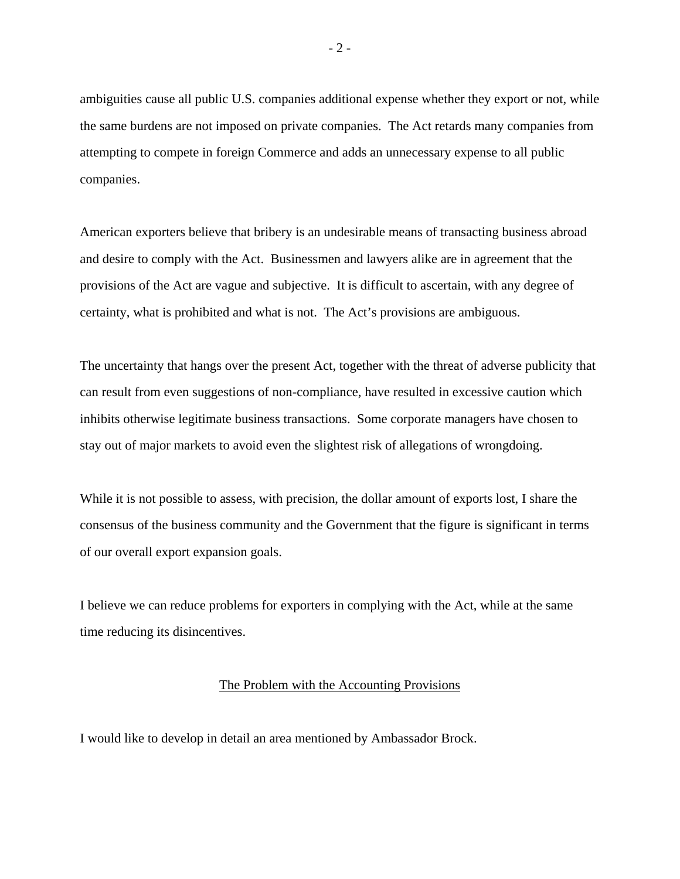ambiguities cause all public U.S. companies additional expense whether they export or not, while the same burdens are not imposed on private companies. The Act retards many companies from attempting to compete in foreign Commerce and adds an unnecessary expense to all public companies.

American exporters believe that bribery is an undesirable means of transacting business abroad and desire to comply with the Act. Businessmen and lawyers alike are in agreement that the provisions of the Act are vague and subjective. It is difficult to ascertain, with any degree of certainty, what is prohibited and what is not. The Act's provisions are ambiguous.

The uncertainty that hangs over the present Act, together with the threat of adverse publicity that can result from even suggestions of non-compliance, have resulted in excessive caution which inhibits otherwise legitimate business transactions. Some corporate managers have chosen to stay out of major markets to avoid even the slightest risk of allegations of wrongdoing.

While it is not possible to assess, with precision, the dollar amount of exports lost, I share the consensus of the business community and the Government that the figure is significant in terms of our overall export expansion goals.

I believe we can reduce problems for exporters in complying with the Act, while at the same time reducing its disincentives.

# The Problem with the Accounting Provisions

I would like to develop in detail an area mentioned by Ambassador Brock.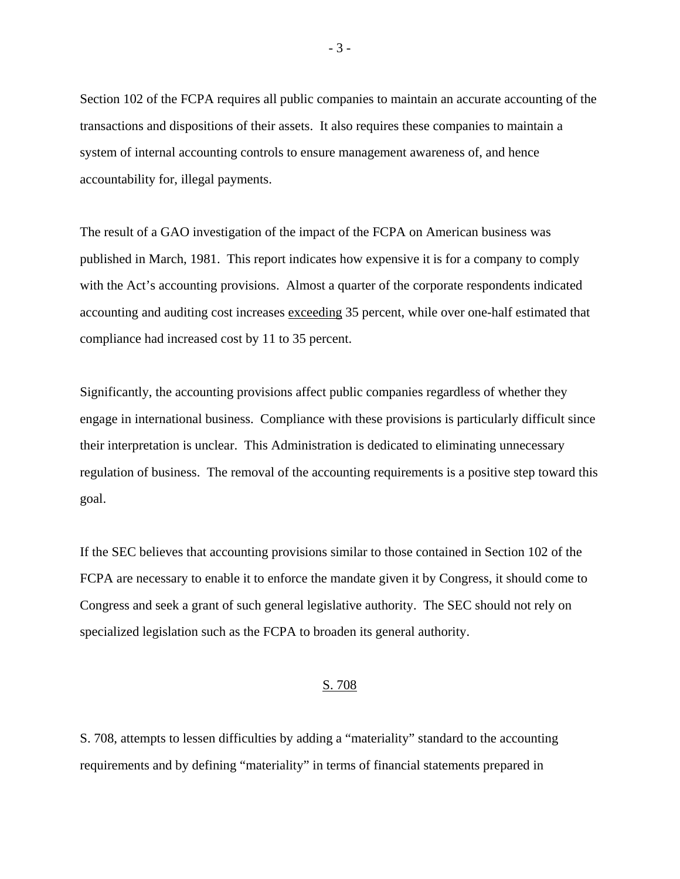Section 102 of the FCPA requires all public companies to maintain an accurate accounting of the transactions and dispositions of their assets. It also requires these companies to maintain a system of internal accounting controls to ensure management awareness of, and hence accountability for, illegal payments.

The result of a GAO investigation of the impact of the FCPA on American business was published in March, 1981. This report indicates how expensive it is for a company to comply with the Act's accounting provisions. Almost a quarter of the corporate respondents indicated accounting and auditing cost increases exceeding 35 percent, while over one-half estimated that compliance had increased cost by 11 to 35 percent.

Significantly, the accounting provisions affect public companies regardless of whether they engage in international business. Compliance with these provisions is particularly difficult since their interpretation is unclear. This Administration is dedicated to eliminating unnecessary regulation of business. The removal of the accounting requirements is a positive step toward this goal.

If the SEC believes that accounting provisions similar to those contained in Section 102 of the FCPA are necessary to enable it to enforce the mandate given it by Congress, it should come to Congress and seek a grant of such general legislative authority. The SEC should not rely on specialized legislation such as the FCPA to broaden its general authority.

#### S. 708

S. 708, attempts to lessen difficulties by adding a "materiality" standard to the accounting requirements and by defining "materiality" in terms of financial statements prepared in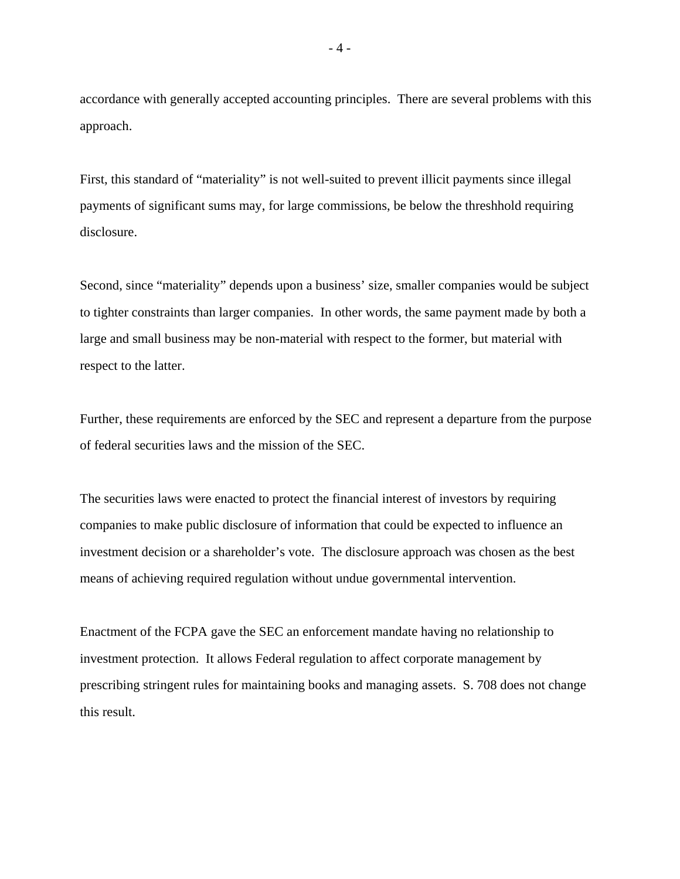accordance with generally accepted accounting principles. There are several problems with this approach.

First, this standard of "materiality" is not well-suited to prevent illicit payments since illegal payments of significant sums may, for large commissions, be below the threshhold requiring disclosure.

Second, since "materiality" depends upon a business' size, smaller companies would be subject to tighter constraints than larger companies. In other words, the same payment made by both a large and small business may be non-material with respect to the former, but material with respect to the latter.

Further, these requirements are enforced by the SEC and represent a departure from the purpose of federal securities laws and the mission of the SEC.

The securities laws were enacted to protect the financial interest of investors by requiring companies to make public disclosure of information that could be expected to influence an investment decision or a shareholder's vote. The disclosure approach was chosen as the best means of achieving required regulation without undue governmental intervention.

Enactment of the FCPA gave the SEC an enforcement mandate having no relationship to investment protection. It allows Federal regulation to affect corporate management by prescribing stringent rules for maintaining books and managing assets. S. 708 does not change this result.